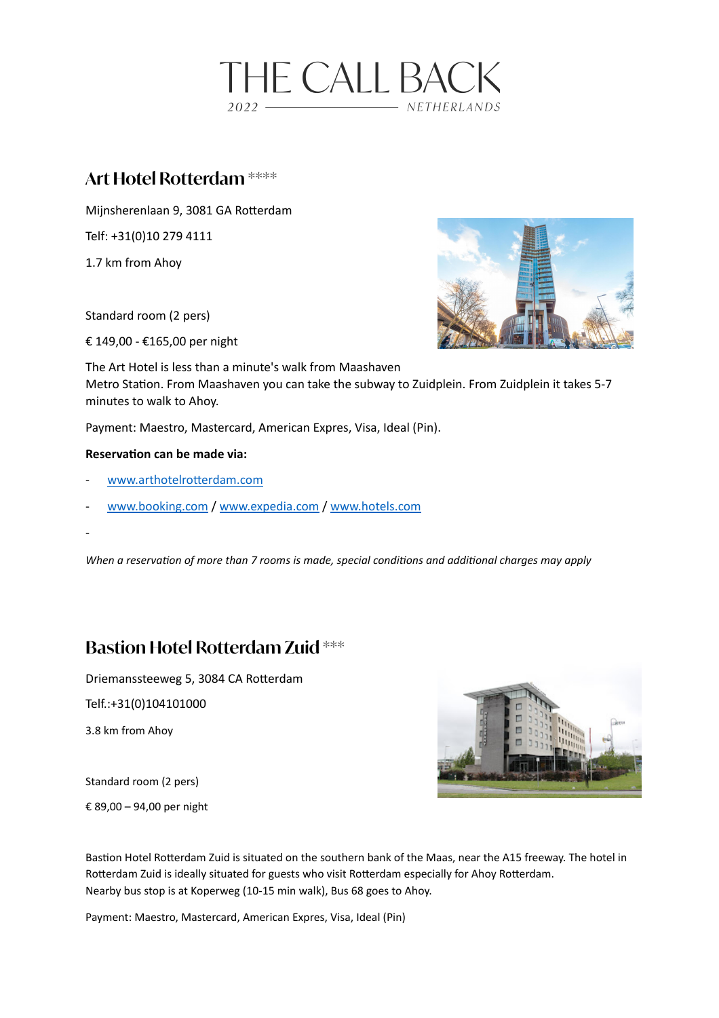

## **Art Hotel Rotterdam \*\*\*\***

Mijnsherenlaan 9, 3081 GA Rotterdam

Telf: +31(0)10 279 4111

1.7 km from Ahoy

Standard room (2 pers)

€ 149,00 - €165,00 per night



The Art Hotel is less than a minute's walk from Maashaven Metro Station. From Maashaven you can take the subway to Zuidplein. From Zuidplein it takes 5-7 minutes to walk to Ahoy.

Payment: Maestro, Mastercard, American Expres, Visa, Ideal (Pin).

### **Reservation can be made via:**

- www.arthotelrotterdam.com
- [www.booking.com](http://www.booking.com) / [www.expedia.com](http://www.expedia.com) / [www.hotels.com](http://www.hotels.com)

-

*When a reservation of more than 7 rooms is made, special conditions and additional charges may apply* 

# **Bastion Hotel Rotterdam Zuid \*\*\***

Driemanssteeweg 5, 3084 CA Rotterdam

Telf.:+31(0)104101000

3.8 km from Ahoy

Standard room (2 pers)

€ 89,00 – 94,00 per night



Bastion Hotel Rotterdam Zuid is situated on the southern bank of the Maas, near the A15 freeway. The hotel in Rotterdam Zuid is ideally situated for guests who visit Rotterdam especially for Ahoy Rotterdam. Nearby bus stop is at Koperweg (10-15 min walk), Bus 68 goes to Ahoy.

Payment: Maestro, Mastercard, American Expres, Visa, Ideal (Pin)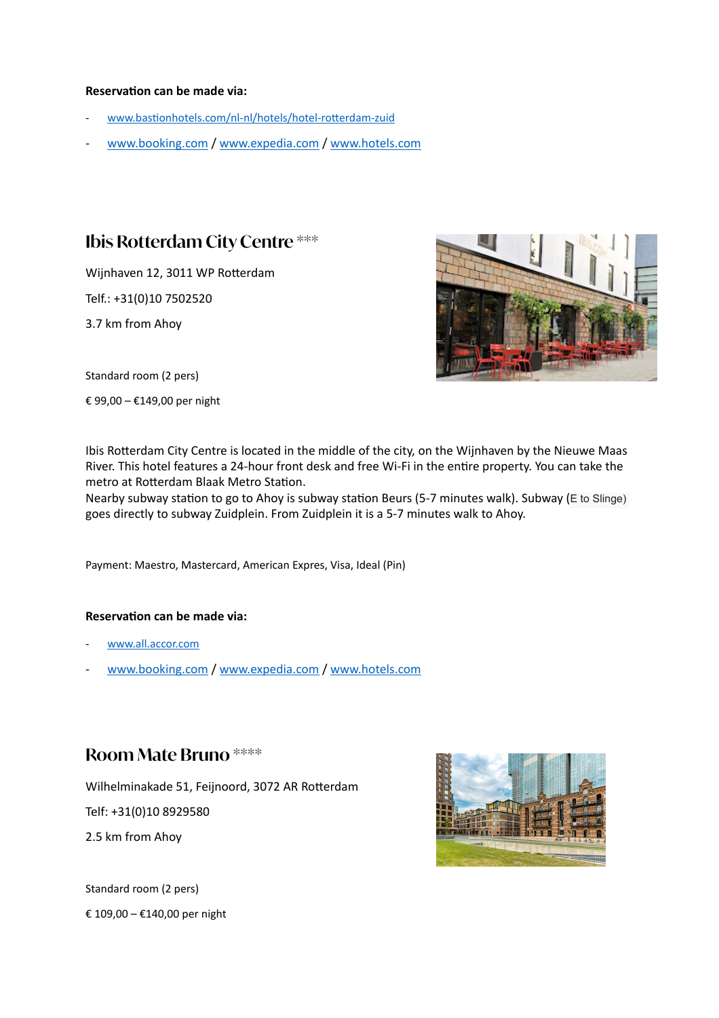#### **Reservation can be made via:**

- www.bastionhotels.com/nl-nl/hotels/hotel-rotterdam-zuid
- [www.booking.com](http://www.booking.com) / [www.expedia.com](http://www.expedia.com) / [www.hotels.com](http://www.hotels.com)

### **Ibis Rotterdam City Centre \*\*\***

Wijnhaven 12, 3011 WP Rotterdam Telf.: +31(0)10 7502520

3.7 km from Ahoy



Standard room (2 pers)

€ 99,00 – €149,00 per night

Ibis Rotterdam City Centre is located in the middle of the city, on the Wijnhaven by the Nieuwe Maas River. This hotel features a 24-hour front desk and free Wi-Fi in the entire property. You can take the metro at Rotterdam Blaak Metro Station.

Nearby subway station to go to Ahoy is subway station Beurs (5-7 minutes walk). Subway (E to Slinge) goes directly to subway Zuidplein. From Zuidplein it is a 5-7 minutes walk to Ahoy.

Payment: Maestro, Mastercard, American Expres, Visa, Ideal (Pin)

### **Reservation can be made via:**

- [www.all.accor.com](http://www.all.accor.com)
- [www.booking.com](http://www.booking.com) / [www.expedia.com](http://www.expedia.com) / [www.hotels.com](http://www.hotels.com)

### **Room Mate Bruno \*\*\*\***

Wilhelminakade 51, Feijnoord, 3072 AR Rotterdam

Telf: +31(0)10 8929580

2.5 km from Ahoy

Standard room (2 pers) € 109,00 – €140,00 per night